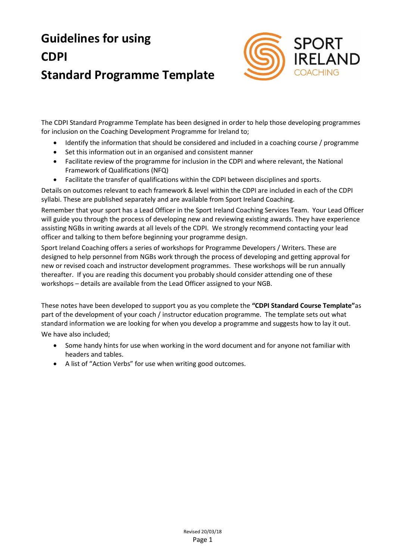# **Guidelines for using CDPI Standard Programme Template**



The CDPI Standard Programme Template has been designed in order to help those developing programmes for inclusion on the Coaching Development Programme for Ireland to;

- Identify the information that should be considered and included in a coaching course / programme
- Set this information out in an organised and consistent manner
- Facilitate review of the programme for inclusion in the CDPI and where relevant, the National Framework of Qualifications (NFQ)
- Facilitate the transfer of qualifications within the CDPI between disciplines and sports.

Details on outcomes relevant to each framework & level within the CDPI are included in each of the CDPI syllabi. These are published separately and are available from Sport Ireland Coaching.

Remember that your sport has a Lead Officer in the Sport Ireland Coaching Services Team. Your Lead Officer will guide you through the process of developing new and reviewing existing awards. They have experience assisting NGBs in writing awards at all levels of the CDPI. We strongly recommend contacting your lead officer and talking to them before beginning your programme design.

Sport Ireland Coaching offers a series of workshops for Programme Developers / Writers. These are designed to help personnel from NGBs work through the process of developing and getting approval for new or revised coach and instructor development programmes. These workshops will be run annually thereafter. If you are reading this document you probably should consider attending one of these workshops – details are available from the Lead Officer assigned to your NGB.

These notes have been developed to support you as you complete the **"CDPI Standard Course Template"**as part of the development of your coach / instructor education programme. The template sets out what standard information we are looking for when you develop a programme and suggests how to lay it out.

We have also included;

- Some handy hints for use when working in the word document and for anyone not familiar with headers and tables.
- A list of "Action Verbs" for use when writing good outcomes.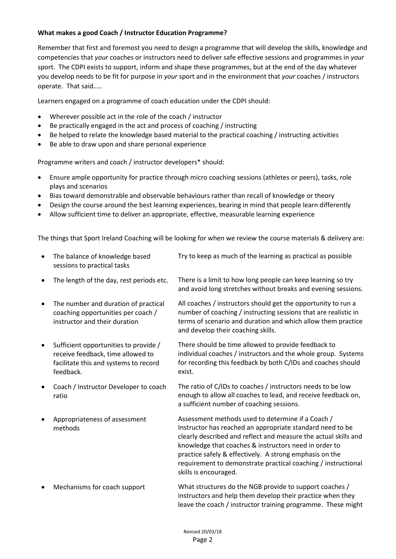#### **What makes a good Coach / Instructor Education Programme?**

Remember that first and foremost you need to design a programme that will develop the skills, knowledge and competencies that *your* coaches or instructors need to deliver safe effective sessions and programmes in *your*  sport. The CDPI exists to support, inform and shape these programmes, but at the end of the day whatever you develop needs to be fit for purpose in *your* sport and in the environment that *your* coaches / instructors operate. That said…..

Learners engaged on a programme of coach education under the CDPI should:

- Wherever possible act in the role of the coach / instructor
- Be practically engaged in the act and process of coaching / instructing
- Be helped to relate the knowledge based material to the practical coaching / instructing activities
- Be able to draw upon and share personal experience

Programme writers and coach / instructor developers\* should:

- Ensure ample opportunity for practice through micro coaching sessions (athletes or peers), tasks, role plays and scenarios
- Bias toward demonstrable and observable behaviours rather than recall of knowledge or theory
- Design the course around the best learning experiences, bearing in mind that people learn differently
- Allow sufficient time to deliver an appropriate, effective, measurable learning experience

The things that Sport Ireland Coaching will be looking for when we review the course materials & delivery are:

• The balance of knowledge based sessions to practical tasks Try to keep as much of the learning as practical as possible The length of the day, rest periods etc. There is a limit to how long people can keep learning so try and avoid long stretches without breaks and evening sessions. The number and duration of practical coaching opportunities per coach / instructor and their duration All coaches / instructors should get the opportunity to run a number of coaching / instructing sessions that are realistic in terms of scenario and duration and which allow them practice and develop their coaching skills. • Sufficient opportunities to provide / receive feedback, time allowed to facilitate this and systems to record feedback. There should be time allowed to provide feedback to individual coaches / instructors and the whole group. Systems for recording this feedback by both C/IDs and coaches should exist. Coach / Instructor Developer to coach ratio The ratio of C/IDs to coaches / instructors needs to be low enough to allow all coaches to lead, and receive feedback on, a sufficient number of coaching sessions. Appropriateness of assessment methods Assessment methods used to determine if a Coach / Instructor has reached an appropriate standard need to be clearly described and reflect and measure the actual skills and knowledge that coaches & instructors need in order to practice safely & effectively. A strong emphasis on the requirement to demonstrate practical coaching / instructional skills is encouraged. Mechanisms for coach support What structures do the NGB provide to support coaches / instructors and help them develop their practice when they leave the coach / instructor training programme. These might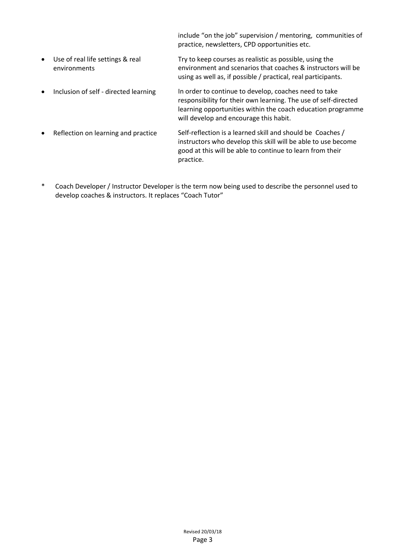include "on the job" supervision / mentoring, communities of practice, newsletters, CPD opportunities etc.

- Use of real life settings & real environments Try to keep courses as realistic as possible, using the environment and scenarios that coaches & instructors will be using as well as, if possible / practical, real participants.
- Inclusion of self directed learning In order to continue to develop, coaches need to take responsibility for their own learning. The use of self-directed learning opportunities within the coach education programme will develop and encourage this habit.
- Reflection on learning and practice Self-reflection is a learned skill and should be Coaches / instructors who develop this skill will be able to use become good at this will be able to continue to learn from their practice.
- \* Coach Developer / Instructor Developer is the term now being used to describe the personnel used to develop coaches & instructors. It replaces "Coach Tutor"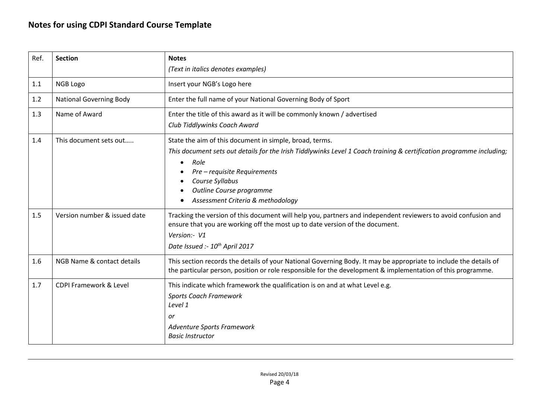| Ref. | <b>Section</b>                    | <b>Notes</b>                                                                                                                                                                                                                                                                                                |  |
|------|-----------------------------------|-------------------------------------------------------------------------------------------------------------------------------------------------------------------------------------------------------------------------------------------------------------------------------------------------------------|--|
|      |                                   | (Text in italics denotes examples)                                                                                                                                                                                                                                                                          |  |
| 1.1  | NGB Logo                          | Insert your NGB's Logo here                                                                                                                                                                                                                                                                                 |  |
| 1.2  | <b>National Governing Body</b>    | Enter the full name of your National Governing Body of Sport                                                                                                                                                                                                                                                |  |
| 1.3  | Name of Award                     | Enter the title of this award as it will be commonly known / advertised<br>Club Tiddlywinks Coach Award                                                                                                                                                                                                     |  |
| 1.4  | This document sets out            | State the aim of this document in simple, broad, terms.<br>This document sets out details for the Irish Tiddlywinks Level 1 Coach training & certification programme including;<br>Role<br>Pre - requisite Requirements<br>Course Syllabus<br>Outline Course programme<br>Assessment Criteria & methodology |  |
| 1.5  | Version number & issued date      | Tracking the version of this document will help you, partners and independent reviewers to avoid confusion and<br>ensure that you are working off the most up to date version of the document.<br>Version:- V1<br>Date Issued :- 10 <sup>th</sup> April 2017                                                |  |
| 1.6  | NGB Name & contact details        | This section records the details of your National Governing Body. It may be appropriate to include the details of<br>the particular person, position or role responsible for the development & implementation of this programme.                                                                            |  |
| 1.7  | <b>CDPI Framework &amp; Level</b> | This indicate which framework the qualification is on and at what Level e.g.<br><b>Sports Coach Framework</b><br>Level 1<br>or<br>Adventure Sports Framework<br><b>Basic Instructor</b>                                                                                                                     |  |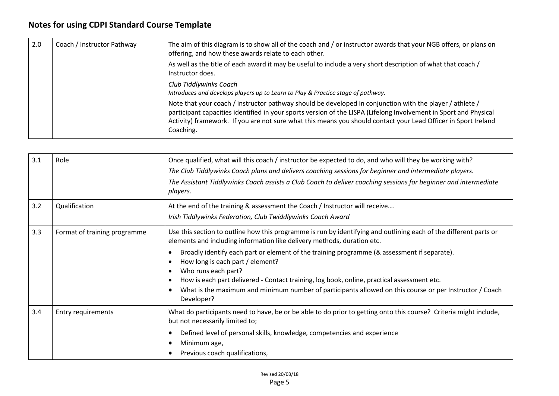| 2.0                    | Coach / Instructor Pathway | The aim of this diagram is to show all of the coach and / or instructor awards that your NGB offers, or plans on<br>offering, and how these awards relate to each other.                                                                                                                                                                                     |
|------------------------|----------------------------|--------------------------------------------------------------------------------------------------------------------------------------------------------------------------------------------------------------------------------------------------------------------------------------------------------------------------------------------------------------|
|                        |                            | As well as the title of each award it may be useful to include a very short description of what that coach /<br>Instructor does.                                                                                                                                                                                                                             |
| Club Tiddlywinks Coach |                            | Introduces and develops players up to Learn to Play & Practice stage of pathway.                                                                                                                                                                                                                                                                             |
|                        |                            | Note that your coach / instructor pathway should be developed in conjunction with the player / athlete /<br>participant capacities identified in your sports version of the LISPA (Lifelong Involvement in Sport and Physical<br>Activity) framework. If you are not sure what this means you should contact your Lead Officer in Sport Ireland<br>Coaching. |

| 3.1 | Role                         | Once qualified, what will this coach / instructor be expected to do, and who will they be working with?<br>The Club Tiddlywinks Coach plans and delivers coaching sessions for beginner and intermediate players.<br>The Assistant Tiddlywinks Coach assists a Club Coach to deliver coaching sessions for beginner and intermediate<br>players.                                                                                                                                                                                                                              |
|-----|------------------------------|-------------------------------------------------------------------------------------------------------------------------------------------------------------------------------------------------------------------------------------------------------------------------------------------------------------------------------------------------------------------------------------------------------------------------------------------------------------------------------------------------------------------------------------------------------------------------------|
| 3.2 | Qualification                | At the end of the training & assessment the Coach / Instructor will receive<br>Irish Tiddlywinks Federation, Club Twiddlywinks Coach Award                                                                                                                                                                                                                                                                                                                                                                                                                                    |
| 3.3 | Format of training programme | Use this section to outline how this programme is run by identifying and outlining each of the different parts or<br>elements and including information like delivery methods, duration etc.<br>Broadly identify each part or element of the training programme (& assessment if separate).<br>How long is each part / element?<br>Who runs each part?<br>How is each part delivered - Contact training, log book, online, practical assessment etc.<br>What is the maximum and minimum number of participants allowed on this course or per Instructor / Coach<br>Developer? |
| 3.4 | Entry requirements           | What do participants need to have, be or be able to do prior to getting onto this course? Criteria might include,<br>but not necessarily limited to;<br>Defined level of personal skills, knowledge, competencies and experience<br>Minimum age,<br>Previous coach qualifications,                                                                                                                                                                                                                                                                                            |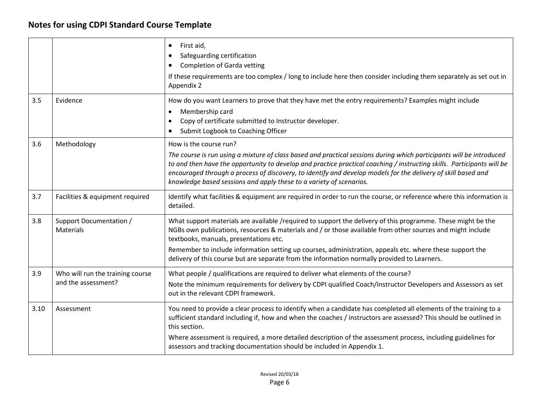|      |                                                         | $\bullet$<br>First aid,<br>Safeguarding certification<br><b>Completion of Garda vetting</b><br>If these requirements are too complex / long to include here then consider including them separately as set out in<br>Appendix 2                                                                                                                                                                                                                                                  |
|------|---------------------------------------------------------|----------------------------------------------------------------------------------------------------------------------------------------------------------------------------------------------------------------------------------------------------------------------------------------------------------------------------------------------------------------------------------------------------------------------------------------------------------------------------------|
| 3.5  | Evidence                                                | How do you want Learners to prove that they have met the entry requirements? Examples might include<br>Membership card<br>Copy of certificate submitted to Instructor developer.<br>Submit Logbook to Coaching Officer                                                                                                                                                                                                                                                           |
| 3.6  | Methodology                                             | How is the course run?<br>The course is run using a mixture of class based and practical sessions during which participants will be introduced<br>to and then have the opportunity to develop and practice practical coaching / instructing skills. Participants will be<br>encouraged through a process of discovery, to identify and develop models for the delivery of skill based and<br>knowledge based sessions and apply these to a variety of scenarios.                 |
| 3.7  | Facilities & equipment required                         | Identify what facilities & equipment are required in order to run the course, or reference where this information is<br>detailed.                                                                                                                                                                                                                                                                                                                                                |
| 3.8  | Support Documentation /<br><b>Materials</b>             | What support materials are available /required to support the delivery of this programme. These might be the<br>NGBs own publications, resources & materials and / or those available from other sources and might include<br>textbooks, manuals, presentations etc.<br>Remember to include information setting up courses, administration, appeals etc. where these support the<br>delivery of this course but are separate from the information normally provided to Learners. |
| 3.9  | Who will run the training course<br>and the assessment? | What people / qualifications are required to deliver what elements of the course?<br>Note the minimum requirements for delivery by CDPI qualified Coach/Instructor Developers and Assessors as set<br>out in the relevant CDPI framework.                                                                                                                                                                                                                                        |
| 3.10 | Assessment                                              | You need to provide a clear process to identify when a candidate has completed all elements of the training to a<br>sufficient standard including if, how and when the coaches / instructors are assessed? This should be outlined in<br>this section.<br>Where assessment is required, a more detailed description of the assessment process, including guidelines for<br>assessors and tracking documentation should be included in Appendix 1.                                |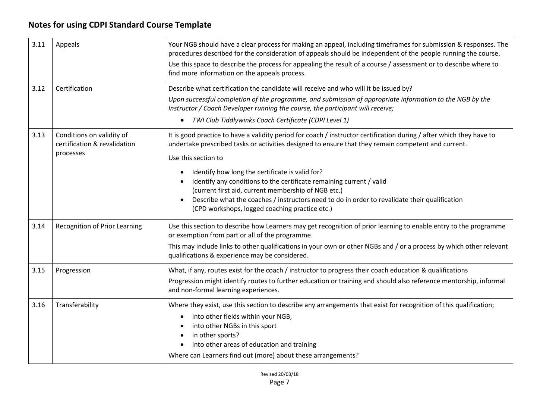| 3.11 | Appeals                                                                | Your NGB should have a clear process for making an appeal, including timeframes for submission & responses. The<br>procedures described for the consideration of appeals should be independent of the people running the course.<br>Use this space to describe the process for appealing the result of a course / assessment or to describe where to<br>find more information on the appeals process.                                                                                                                                                                                   |  |
|------|------------------------------------------------------------------------|-----------------------------------------------------------------------------------------------------------------------------------------------------------------------------------------------------------------------------------------------------------------------------------------------------------------------------------------------------------------------------------------------------------------------------------------------------------------------------------------------------------------------------------------------------------------------------------------|--|
| 3.12 | Certification                                                          | Describe what certification the candidate will receive and who will it be issued by?<br>Upon successful completion of the programme, and submission of appropriate information to the NGB by the<br>Instructor / Coach Developer running the course, the participant will receive;<br>TWI Club Tiddlywinks Coach Certificate (CDPI Level 1)<br>$\bullet$                                                                                                                                                                                                                                |  |
| 3.13 | Conditions on validity of<br>certification & revalidation<br>processes | It is good practice to have a validity period for coach / instructor certification during / after which they have to<br>undertake prescribed tasks or activities designed to ensure that they remain competent and current.<br>Use this section to<br>Identify how long the certificate is valid for?<br>Identify any conditions to the certificate remaining current / valid<br>(current first aid, current membership of NGB etc.)<br>Describe what the coaches / instructors need to do in order to revalidate their qualification<br>(CPD workshops, logged coaching practice etc.) |  |
| 3.14 | <b>Recognition of Prior Learning</b>                                   | Use this section to describe how Learners may get recognition of prior learning to enable entry to the programme<br>or exemption from part or all of the programme.<br>This may include links to other qualifications in your own or other NGBs and / or a process by which other relevant<br>qualifications & experience may be considered.                                                                                                                                                                                                                                            |  |
| 3.15 | Progression                                                            | What, if any, routes exist for the coach / instructor to progress their coach education & qualifications<br>Progression might identify routes to further education or training and should also reference mentorship, informal<br>and non-formal learning experiences.                                                                                                                                                                                                                                                                                                                   |  |
| 3.16 | Transferability                                                        | Where they exist, use this section to describe any arrangements that exist for recognition of this qualification;<br>into other fields within your NGB,<br>into other NGBs in this sport<br>in other sports?<br>into other areas of education and training<br>Where can Learners find out (more) about these arrangements?                                                                                                                                                                                                                                                              |  |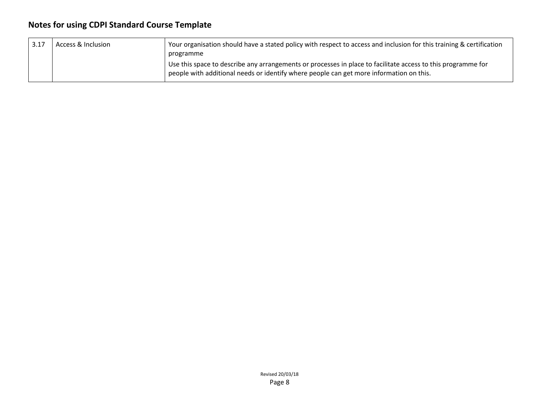| 3.17 | Access & Inclusion | Your organisation should have a stated policy with respect to access and inclusion for this training & certification                                                                                    |
|------|--------------------|---------------------------------------------------------------------------------------------------------------------------------------------------------------------------------------------------------|
|      |                    | programme                                                                                                                                                                                               |
|      |                    | Use this space to describe any arrangements or processes in place to facilitate access to this programme for<br>people with additional needs or identify where people can get more information on this. |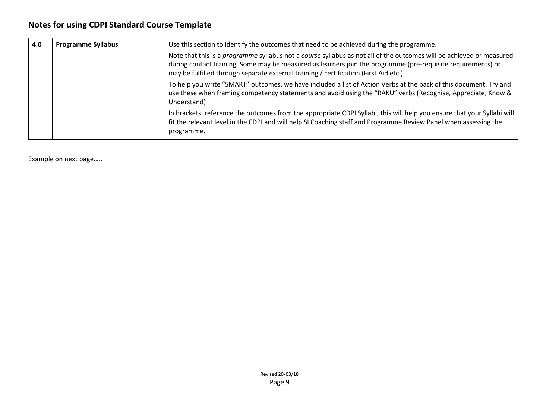| 4.0 | <b>Programme Syllabus</b> | Use this section to identify the outcomes that need to be achieved during the programme.<br>Note that this is a programme syllabus not a course syllabus as not all of the outcomes will be achieved or measured<br>during contact training. Some may be measured as learners join the programme (pre-requisite requirements) or<br>may be fulfilled through separate external training / certification (First Aid etc.) |
|-----|---------------------------|--------------------------------------------------------------------------------------------------------------------------------------------------------------------------------------------------------------------------------------------------------------------------------------------------------------------------------------------------------------------------------------------------------------------------|
|     |                           | To help you write "SMART" outcomes, we have included a list of Action Verbs at the back of this document. Try and<br>use these when framing competency statements and avoid using the "RAKU" verbs (Recognise, Appreciate, Know &<br>Understand)                                                                                                                                                                         |
|     |                           | In brackets, reference the outcomes from the appropriate CDPI Syllabi, this will help you ensure that your Syllabi will<br>fit the relevant level in the CDPI and will help SI Coaching staff and Programme Review Panel when assessing the<br>programme.                                                                                                                                                                |

Example on next page…..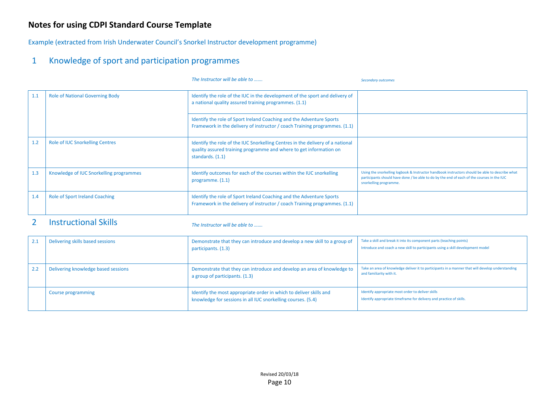Example (extracted from Irish Underwater Council's Snorkel Instructor development programme)

### 1 Knowledge of sport and participation programmes

|     |                                         | The Instructor will be able to                                                                                                                                           | <b>Secondary outcomes</b>                                                                                                                                                                                               |
|-----|-----------------------------------------|--------------------------------------------------------------------------------------------------------------------------------------------------------------------------|-------------------------------------------------------------------------------------------------------------------------------------------------------------------------------------------------------------------------|
| 1.1 | <b>Role of National Governing Body</b>  | Identify the role of the IUC in the development of the sport and delivery of<br>a national quality assured training programmes. (1.1)                                    |                                                                                                                                                                                                                         |
|     |                                         | Identify the role of Sport Ireland Coaching and the Adventure Sports<br>Framework in the delivery of instructor / coach Training programmes. (1.1)                       |                                                                                                                                                                                                                         |
| 1.2 | <b>Role of IUC Snorkelling Centres</b>  | Identify the role of the IUC Snorkelling Centres in the delivery of a national<br>quality assured training programme and where to get information on<br>standards. (1.1) |                                                                                                                                                                                                                         |
| 1.3 | Knowledge of IUC Snorkelling programmes | Identify outcomes for each of the courses within the IUC snorkelling<br>programme. $(1.1)$                                                                               | Using the snorkelling logbook & Instructor handbook instructors should be able to describe what<br>participants should have done / be able to do by the end of each of the courses in the IUC<br>snorkelling programme. |
| 1.4 | <b>Role of Sport Ireland Coaching</b>   | Identify the role of Sport Ireland Coaching and the Adventure Sports<br>Framework in the delivery of instructor / coach Training programmes. (1.1)                       |                                                                                                                                                                                                                         |

### 2 Instructional Skills *The Instructor will be able to …….*

| $2.1\,$ | Delivering skills based sessions    | Demonstrate that they can introduce and develop a new skill to a group of<br>participants. (1.3)                                   | Take a skill and break it into its component parts (teaching points)<br>Introduce and coach a new skill to participants using a skill development model |
|---------|-------------------------------------|------------------------------------------------------------------------------------------------------------------------------------|---------------------------------------------------------------------------------------------------------------------------------------------------------|
|         | Delivering knowledge based sessions | Demonstrate that they can introduce and develop an area of knowledge to<br>a group of participants. (1.3)                          | Take an area of knowledge deliver it to participants in a manner that will develop understanding<br>and familiarity with it.                            |
|         | Course programming                  | Identify the most appropriate order in which to deliver skills and<br>knowledge for sessions in all IUC snorkelling courses. (5.4) | Identify appropriate most order to deliver skills<br>Identify appropriate timeframe for delivery and practice of skills.                                |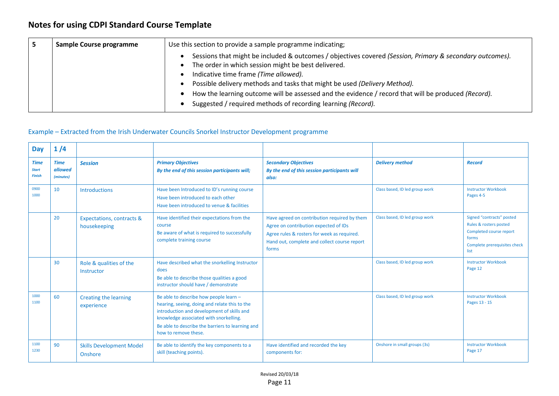| Sample Course programme | Use this section to provide a sample programme indicating;                                                                                                                                                                                                                                                                                                                                                                                                   |  |
|-------------------------|--------------------------------------------------------------------------------------------------------------------------------------------------------------------------------------------------------------------------------------------------------------------------------------------------------------------------------------------------------------------------------------------------------------------------------------------------------------|--|
|                         | Sessions that might be included & outcomes / objectives covered (Session, Primary & secondary outcomes).<br>The order in which session might be best delivered.<br>Indicative time frame (Time allowed).<br>Possible delivery methods and tasks that might be used (Delivery Method).<br>How the learning outcome will be assessed and the evidence / record that will be produced (Record).<br>Suggested / required methods of recording learning (Record). |  |

#### Example – Extracted from the Irish Underwater Councils Snorkel Instructor Development programme

| <b>Day</b>                                   | 1/4                                 |                                                      |                                                                                                                                                                                                                                                             |                                                                                                                                                                                               |                                |                                                                                                                                 |
|----------------------------------------------|-------------------------------------|------------------------------------------------------|-------------------------------------------------------------------------------------------------------------------------------------------------------------------------------------------------------------------------------------------------------------|-----------------------------------------------------------------------------------------------------------------------------------------------------------------------------------------------|--------------------------------|---------------------------------------------------------------------------------------------------------------------------------|
| <b>Time</b><br><b>Start</b><br><b>Finish</b> | <b>Time</b><br>allowed<br>(minutes) | <b>Session</b>                                       | <b>Primary Objectives</b><br>By the end of this session participants will;                                                                                                                                                                                  | <b>Secondary Objectives</b><br>By the end of this session participants will<br>also:                                                                                                          | <b>Delivery method</b>         | <b>Record</b>                                                                                                                   |
| 0900<br>1000                                 | 10                                  | Introductions                                        | Have been Introduced to ID's running course<br>Have been introduced to each other<br>Have been introduced to venue & facilities                                                                                                                             |                                                                                                                                                                                               | Class based, ID led group work | <b>Instructor Workbook</b><br>Pages 4-5                                                                                         |
|                                              | 20                                  | <b>Expectations, contracts &amp;</b><br>housekeeping | Have identified their expectations from the<br>course<br>Be aware of what is required to successfully<br>complete training course                                                                                                                           | Have agreed on contribution required by them<br>Agree on contribution expected of IDs<br>Agree rules & rosters for week as required.<br>Hand out, complete and collect course report<br>forms | Class based, ID led group work | Signed "contracts" posted<br>Rules & rosters posted<br>Completed course report<br>forms<br>Complete prerequisites check<br>list |
|                                              | 30                                  | Role & qualities of the<br>Instructor                | Have described what the snorkelling Instructor<br>does<br>Be able to describe those qualities a good<br>instructor should have / demonstrate                                                                                                                |                                                                                                                                                                                               | Class based, ID led group work | <b>Instructor Workbook</b><br>Page 12                                                                                           |
| 1000<br>1100                                 | 60                                  | Creating the learning<br>experience                  | Be able to describe how people learn -<br>hearing, seeing, doing and relate this to the<br>introduction and development of skills and<br>knowledge associated with snorkelling.<br>Be able to describe the barriers to learning and<br>how to remove these. |                                                                                                                                                                                               | Class based, ID led group work | <b>Instructor Workbook</b><br>Pages 13 - 15                                                                                     |
| 1100<br>1230                                 | 90                                  | <b>Skills Development Model</b><br>Onshore           | Be able to identify the key components to a<br>skill (teaching points).                                                                                                                                                                                     | Have identified and recorded the key<br>components for:                                                                                                                                       | Onshore in small groups (3s)   | <b>Instructor Workbook</b><br>Page 17                                                                                           |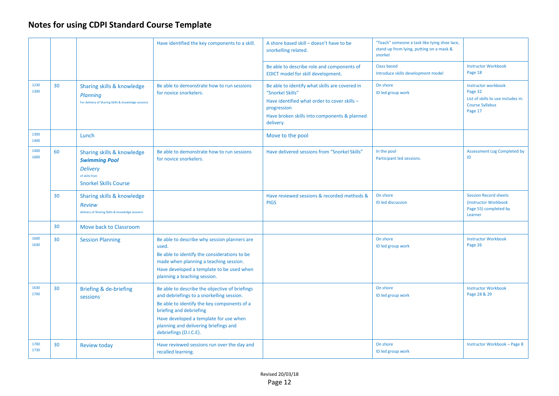|              |    |                                                                                                                         | Have identified the key components to a skill.                                                                                                                                                                                                                                     | A shore based skill - doesn't have to be<br>snorkelling related.                                                                                                                               | "Teach" someone a task like tying shoe lace,<br>stand up from lying, putting on a mask &<br>snorkel |                                                                                                                  |
|--------------|----|-------------------------------------------------------------------------------------------------------------------------|------------------------------------------------------------------------------------------------------------------------------------------------------------------------------------------------------------------------------------------------------------------------------------|------------------------------------------------------------------------------------------------------------------------------------------------------------------------------------------------|-----------------------------------------------------------------------------------------------------|------------------------------------------------------------------------------------------------------------------|
|              |    |                                                                                                                         |                                                                                                                                                                                                                                                                                    | Be able to describe role and components of<br>EDICT model for skill development.                                                                                                               | <b>Class based</b><br>Introduce skills development model                                            | <b>Instructor Workbook</b><br>Page 18                                                                            |
| 1230<br>1300 | 30 | Sharing skills & knowledge<br>Planning<br>For delivery of Sharing Skills & knowledge sessions                           | Be able to demonstrate how to run sessions<br>for novice snorkelers.                                                                                                                                                                                                               | Be able to identify what skills are covered in<br>"Snorkel Skills"<br>Have identified what order to cover skills -<br>progression<br>Have broken skills into components & planned<br>delivery. | On shore<br>ID led group work                                                                       | <b>Instructor workbook</b><br>Page 32<br>List of skills to use includes in:<br><b>Course Syllabus</b><br>Page 17 |
| 1300<br>1400 |    | Lunch                                                                                                                   |                                                                                                                                                                                                                                                                                    | Move to the pool                                                                                                                                                                               |                                                                                                     |                                                                                                                  |
| 1400<br>1600 | 60 | Sharing skills & knowledge<br><b>Swimming Pool</b><br><b>Delivery</b><br>of skills from<br><b>Snorkel Skills Course</b> | Be able to demonstrate how to run sessions<br>for novice snorkelers.                                                                                                                                                                                                               | Have delivered sessions from "Snorkel Skills"                                                                                                                                                  | In the pool<br>Participant led sessions.                                                            | <b>Assessment Log Completed by</b><br>ID                                                                         |
|              | 30 | Sharing skills & knowledge<br><b>Review</b><br>delivery of Sharing Skills & knowledge sessions                          |                                                                                                                                                                                                                                                                                    | Have reviewed sessions & recorded methods &<br><b>PIGS</b>                                                                                                                                     | On shore<br>ID led discussion                                                                       | <b>Session Record sheets</b><br>(Instructor Workbook<br>Page 55) completed by<br>Learner                         |
|              | 30 | Move back to Classroom                                                                                                  |                                                                                                                                                                                                                                                                                    |                                                                                                                                                                                                |                                                                                                     |                                                                                                                  |
| 1600<br>1630 | 30 | <b>Session Planning</b>                                                                                                 | Be able to describe why session planners are<br>used.<br>Be able to identify the considerations to be<br>made when planning a teaching session.<br>Have developed a template to be used when<br>planning a teaching session.                                                       |                                                                                                                                                                                                | On shore<br>ID led group work                                                                       | <b>Instructor Workbook</b><br>Page 26                                                                            |
| 1630<br>1700 | 30 | Briefing & de-briefing<br>sessions                                                                                      | Be able to describe the objective of briefings<br>and debriefings to a snorkelling session.<br>Be able to identify the key components of a<br>briefing and debriefing<br>Have developed a template for use when<br>planning and delivering briefings and<br>debriefings (D.I.C.E). |                                                                                                                                                                                                | On shore<br>ID led group work                                                                       | <b>Instructor Workbook</b><br>Page 28 & 29                                                                       |
| 1700<br>1730 | 30 | <b>Review today</b>                                                                                                     | Have reviewed sessions run over the day and<br>recalled learning.                                                                                                                                                                                                                  |                                                                                                                                                                                                | On shore<br>ID led group work                                                                       | <b>Instructor Workbook - Page 8</b>                                                                              |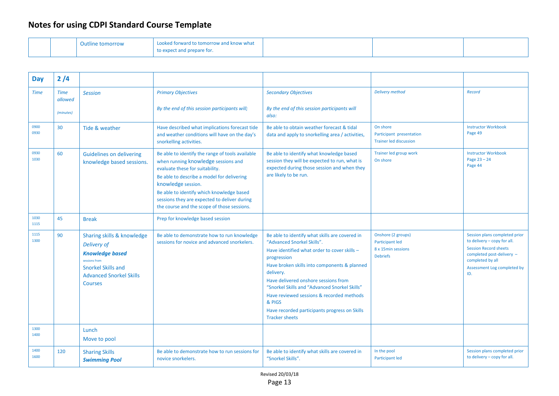|  | <b>Outline tomorrow</b> | Looked forward to tomorrow and know what |  |  |
|--|-------------------------|------------------------------------------|--|--|
|  |                         | to expect and prepare for.               |  |  |

| <b>Day</b>   | 2/4                    |                                                                                                                                                                       |                                                                                                                                                                                                                                                                                                                                            |                                                                                                                                                                                                                                                                                                                                                                                                                                    |                                                                                |                                                                                                                                                                                     |
|--------------|------------------------|-----------------------------------------------------------------------------------------------------------------------------------------------------------------------|--------------------------------------------------------------------------------------------------------------------------------------------------------------------------------------------------------------------------------------------------------------------------------------------------------------------------------------------|------------------------------------------------------------------------------------------------------------------------------------------------------------------------------------------------------------------------------------------------------------------------------------------------------------------------------------------------------------------------------------------------------------------------------------|--------------------------------------------------------------------------------|-------------------------------------------------------------------------------------------------------------------------------------------------------------------------------------|
| <b>Time</b>  | <b>Time</b><br>allowed | <b>Session</b>                                                                                                                                                        | <b>Primary Objectives</b>                                                                                                                                                                                                                                                                                                                  | <b>Secondary Objectives</b>                                                                                                                                                                                                                                                                                                                                                                                                        | <b>Delivery method</b>                                                         | Record                                                                                                                                                                              |
|              | (minutes)              |                                                                                                                                                                       | By the end of this session participants will;                                                                                                                                                                                                                                                                                              | By the end of this session participants will<br>also:                                                                                                                                                                                                                                                                                                                                                                              |                                                                                |                                                                                                                                                                                     |
| 0900<br>0930 | 30                     | Tide & weather                                                                                                                                                        | Have described what implications forecast tide<br>and weather conditions will have on the day's<br>snorkelling activities.                                                                                                                                                                                                                 | Be able to obtain weather forecast & tidal<br>data and apply to snorkelling area / activities,                                                                                                                                                                                                                                                                                                                                     | On shore<br>Participant presentation<br><b>Trainer led discussion</b>          | <b>Instructor Workbook</b><br>Page 49                                                                                                                                               |
| 0930<br>1030 | 60                     | <b>Guidelines on delivering</b><br>knowledge based sessions.                                                                                                          | Be able to identify the range of tools available<br>when running knowledge sessions and<br>evaluate these for suitability.<br>Be able to describe a model for delivering<br>knowledge session.<br>Be able to identify which knowledge based<br>sessions they are expected to deliver during<br>the course and the scope of those sessions. | Be able to identify what knowledge based<br>session they will be expected to run, what is<br>expected during those session and when they<br>are likely to be run.                                                                                                                                                                                                                                                                  | Trainer led group work<br>On shore                                             | <b>Instructor Workbook</b><br>Page $23 - 24$<br>Page 44                                                                                                                             |
| 1030<br>1115 | 45                     | <b>Break</b>                                                                                                                                                          | Prep for knowledge based session                                                                                                                                                                                                                                                                                                           |                                                                                                                                                                                                                                                                                                                                                                                                                                    |                                                                                |                                                                                                                                                                                     |
| 1115<br>1300 | 90                     | Sharing skills & knowledge<br>Delivery of<br><b>Knowledge based</b><br>sessions from<br><b>Snorkel Skills and</b><br><b>Advanced Snorkel Skills</b><br><b>Courses</b> | Be able to demonstrate how to run knowledge<br>sessions for novice and advanced snorkelers.                                                                                                                                                                                                                                                | Be able to identify what skills are covered in<br>"Advanced Snorkel Skills".<br>Have identified what order to cover skills -<br>progression<br>Have broken skills into components & planned<br>delivery.<br>Have delivered onshore sessions from<br>"Snorkel Skills and "Advanced Snorkel Skills"<br>Have reviewed sessions & recorded methods<br>& PIGS<br>Have recorded participants progress on Skills<br><b>Tracker sheets</b> | Onshore (2 groups)<br>Participant led<br>8 x 15min sessions<br><b>Debriefs</b> | Session plans completed prior<br>to delivery - copy for all.<br><b>Session Record sheets</b><br>completed post-delivery -<br>completed by all<br>Assessment Log completed by<br>ID. |
| 1300<br>1400 |                        | Lunch<br>Move to pool                                                                                                                                                 |                                                                                                                                                                                                                                                                                                                                            |                                                                                                                                                                                                                                                                                                                                                                                                                                    |                                                                                |                                                                                                                                                                                     |
| 1400<br>1600 | 120                    | <b>Sharing Skills</b><br><b>Swimming Pool</b>                                                                                                                         | Be able to demonstrate how to run sessions for<br>novice snorkelers.                                                                                                                                                                                                                                                                       | Be able to identify what skills are covered in<br>"Snorkel Skills".                                                                                                                                                                                                                                                                                                                                                                | In the pool<br><b>Participant led</b>                                          | Session plans completed prior<br>to delivery - copy for all.                                                                                                                        |

Revised 20/03/18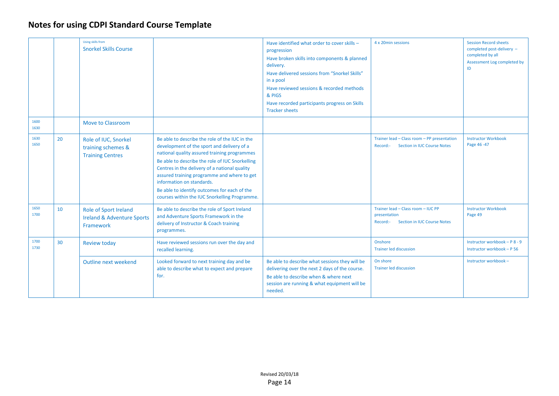|              |    | <b>Using skills from</b><br><b>Snorkel Skills Course</b>                    |                                                                                                                                                                                                                                                                                                                                                                                                                               | Have identified what order to cover skills -<br>progression<br>Have broken skills into components & planned<br>delivery.<br>Have delivered sessions from "Snorkel Skills"<br>in a pool<br>Have reviewed sessions & recorded methods<br>& PIGS<br>Have recorded participants progress on Skills<br><b>Tracker sheets</b> | 4 x 20min sessions                                                                                   | <b>Session Record sheets</b><br>completed post-delivery -<br>completed by all<br>Assessment Log completed by |
|--------------|----|-----------------------------------------------------------------------------|-------------------------------------------------------------------------------------------------------------------------------------------------------------------------------------------------------------------------------------------------------------------------------------------------------------------------------------------------------------------------------------------------------------------------------|-------------------------------------------------------------------------------------------------------------------------------------------------------------------------------------------------------------------------------------------------------------------------------------------------------------------------|------------------------------------------------------------------------------------------------------|--------------------------------------------------------------------------------------------------------------|
| 1600<br>1630 |    | <b>Move to Classroom</b>                                                    |                                                                                                                                                                                                                                                                                                                                                                                                                               |                                                                                                                                                                                                                                                                                                                         |                                                                                                      |                                                                                                              |
| 1630<br>1650 | 20 | Role of IUC, Snorkel<br>training schemes &<br><b>Training Centres</b>       | Be able to describe the role of the IUC in the<br>development of the sport and delivery of a<br>national quality assured training programmes<br>Be able to describe the role of IUC Snorkelling<br>Centres in the delivery of a national quality<br>assured training programme and where to get<br>information on standards.<br>Be able to identify outcomes for each of the<br>courses within the IUC Snorkelling Programme. |                                                                                                                                                                                                                                                                                                                         | Trainer lead - Class room - PP presentation<br><b>Section in IUC Course Notes</b><br>Record:-        | <b>Instructor Workbook</b><br>Page 46-47                                                                     |
| 1650<br>1700 | 10 | Role of Sport Ireland<br><b>Ireland &amp; Adventure Sports</b><br>Framework | Be able to describe the role of Sport Ireland<br>and Adventure Sports Framework in the<br>delivery of Instructor & Coach training<br>programmes.                                                                                                                                                                                                                                                                              |                                                                                                                                                                                                                                                                                                                         | Trainer lead - Class room - IUC PP<br>presentation<br><b>Section in IUC Course Notes</b><br>Record:- | <b>Instructor Workbook</b><br>Page 49                                                                        |
| 1700<br>1730 | 30 | <b>Review today</b>                                                         | Have reviewed sessions run over the day and<br>recalled learning.                                                                                                                                                                                                                                                                                                                                                             |                                                                                                                                                                                                                                                                                                                         | Onshore<br><b>Trainer led discussion</b>                                                             | Instructor workbook - P 8 - 9<br>Instructor workbook - P 56                                                  |
|              |    | Outline next weekend                                                        | Looked forward to next training day and be<br>able to describe what to expect and prepare<br>for.                                                                                                                                                                                                                                                                                                                             | Be able to describe what sessions they will be<br>delivering over the next 2 days of the course.<br>Be able to describe when & where next<br>session are running & what equipment will be<br>needed.                                                                                                                    | On shore<br><b>Trainer led discussion</b>                                                            | Instructor workbook -                                                                                        |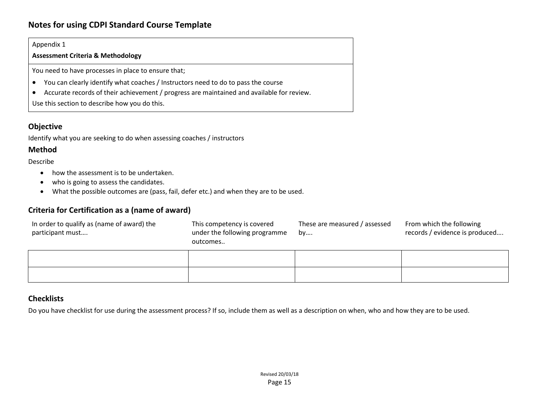#### Appendix 1

**Assessment Criteria & Methodology**

You need to have processes in place to ensure that;

- You can clearly identify what coaches / Instructors need to do to pass the course
- Accurate records of their achievement / progress are maintained and available for review.

Use this section to describe how you do this.

#### **Objective**

Identify what you are seeking to do when assessing coaches / instructors

#### **Method**

Describe

- how the assessment is to be undertaken.
- who is going to assess the candidates.
- What the possible outcomes are (pass, fail, defer etc.) and when they are to be used.

#### **Criteria for Certification as a (name of award)**

| In order to qualify as (name of award) the | This competency is covered    | These are measured / assessed | From which the following       |
|--------------------------------------------|-------------------------------|-------------------------------|--------------------------------|
| participant must                           | under the following programme | <b>bv</b>                     | records / evidence is produced |
|                                            | outcomes                      |                               |                                |
|                                            |                               |                               |                                |

#### **Checklists**

Do you have checklist for use during the assessment process? If so, include them as well as a description on when, who and how they are to be used.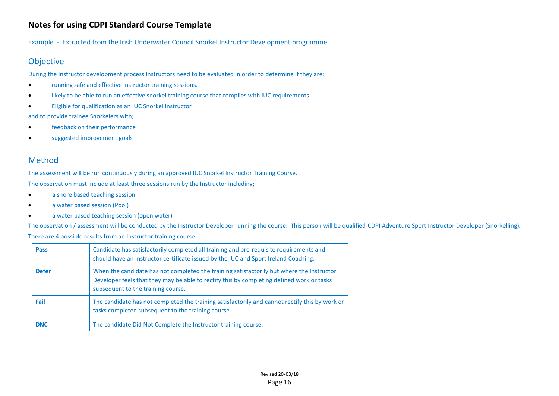Example - Extracted from the Irish Underwater Council Snorkel Instructor Development programme

### Objective

During the Instructor development process Instructors need to be evaluated in order to determine if they are:

- running safe and effective instructor training sessions.
- likely to be able to run an effective snorkel training course that complies with IUC requirements
- Eligible for qualification as an IUC Snorkel Instructor

and to provide trainee Snorkelers with;

- feedback on their performance
- suggested improvement goals

#### Method

The assessment will be run continuously during an approved IUC Snorkel Instructor Training Course.

The observation must include at least three sessions run by the Instructor including;

- a shore based teaching session
- a water based session (Pool)
- a water based teaching session (open water)

The observation / assessment will be conducted by the Instructor Developer running the course. This person will be qualified CDPI Adventure Sport Instructor Developer (Snorkelling).

There are 4 possible results from an Instructor training course.

| <b>Pass</b>  | Candidate has satisfactorily completed all training and pre-requisite requirements and<br>should have an Instructor certificate issued by the IUC and Sport Ireland Coaching.                                                |
|--------------|------------------------------------------------------------------------------------------------------------------------------------------------------------------------------------------------------------------------------|
| <b>Defer</b> | When the candidate has not completed the training satisfactorily but where the Instructor<br>Developer feels that they may be able to rectify this by completing defined work or tasks<br>subsequent to the training course. |
| Fail         | The candidate has not completed the training satisfactorily and cannot rectify this by work or<br>tasks completed subsequent to the training course.                                                                         |
| <b>DNC</b>   | The candidate Did Not Complete the Instructor training course.                                                                                                                                                               |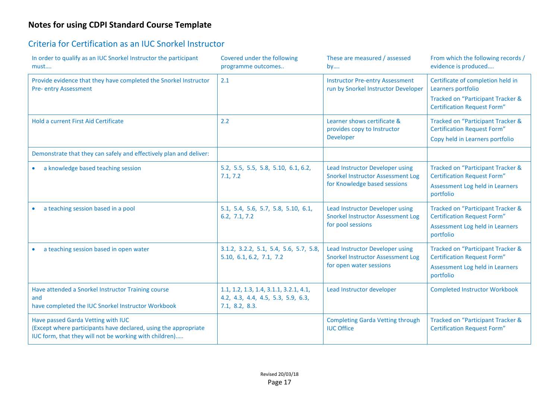### Criteria for Certification as an IUC Snorkel Instructor

| In order to qualify as an IUC Snorkel Instructor the participant<br>must                                                                                        | Covered under the following<br>programme outcomes                                              | These are measured / assessed<br>by                                                                         | From which the following records /<br>evidence is produced                                                                         |
|-----------------------------------------------------------------------------------------------------------------------------------------------------------------|------------------------------------------------------------------------------------------------|-------------------------------------------------------------------------------------------------------------|------------------------------------------------------------------------------------------------------------------------------------|
| Provide evidence that they have completed the Snorkel Instructor<br><b>Pre- entry Assessment</b>                                                                | 2.1                                                                                            | <b>Instructor Pre-entry Assessment</b><br>run by Snorkel Instructor Developer                               | Certificate of completion held in<br>Learners portfolio<br>Tracked on "Participant Tracker &<br><b>Certification Request Form"</b> |
| Hold a current First Aid Certificate                                                                                                                            | 2.2                                                                                            | Learner shows certificate &<br>provides copy to Instructor<br>Developer                                     | Tracked on "Participant Tracker &<br><b>Certification Request Form"</b><br>Copy held in Learners portfolio                         |
| Demonstrate that they can safely and effectively plan and deliver:                                                                                              |                                                                                                |                                                                                                             |                                                                                                                                    |
| a knowledge based teaching session<br>$\bullet$                                                                                                                 | 5.2, 5.5, 5.5, 5.8, 5.10, 6.1, 6.2,<br>7.1, 7.2                                                | Lead Instructor Developer using<br><b>Snorkel Instructor Assessment Log</b><br>for Knowledge based sessions | Tracked on "Participant Tracker &<br><b>Certification Request Form"</b><br>Assessment Log held in Learners<br>portfolio            |
| a teaching session based in a pool                                                                                                                              | 5.1, 5.4, 5.6, 5.7, 5.8, 5.10, 6.1,<br>6.2, 7.1, 7.2                                           | Lead Instructor Developer using<br><b>Snorkel Instructor Assessment Log</b><br>for pool sessions            | <b>Tracked on "Participant Tracker &amp;</b><br><b>Certification Request Form"</b><br>Assessment Log held in Learners<br>portfolio |
| a teaching session based in open water                                                                                                                          | 3.1.2, 3.2.2, 5.1, 5.4, 5.6, 5.7, 5.8,<br>5.10, 6.1, 6.2, 7.1, 7.2                             | Lead Instructor Developer using<br><b>Snorkel Instructor Assessment Log</b><br>for open water sessions      | Tracked on "Participant Tracker &<br><b>Certification Request Form"</b><br>Assessment Log held in Learners<br>portfolio            |
| Have attended a Snorkel Instructor Training course<br>and<br>have completed the IUC Snorkel Instructor Workbook                                                 | 1.1, 1.2, 1.3, 1.4, 3.1.1, 3.2.1, 4.1,<br>4.2, 4.3, 4.4, 4.5, 5.3, 5.9, 6.3,<br>7.1, 8.2, 8.3. | Lead Instructor developer                                                                                   | <b>Completed Instructor Workbook</b>                                                                                               |
| Have passed Garda Vetting with IUC<br>(Except where participants have declared, using the appropriate<br>IUC form, that they will not be working with children) |                                                                                                | <b>Completing Garda Vetting through</b><br><b>IUC Office</b>                                                | Tracked on "Participant Tracker &<br><b>Certification Request Form"</b>                                                            |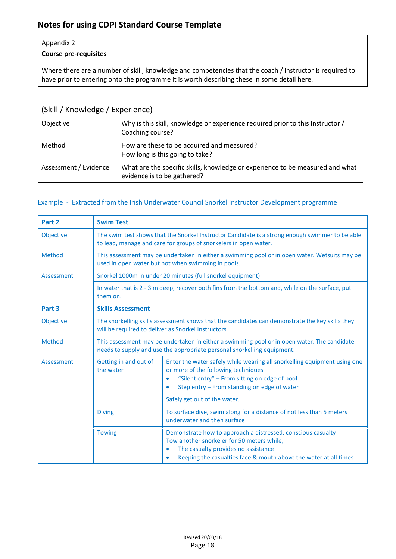#### Appendix 2

#### **Course pre-requisites**

Where there are a number of skill, knowledge and competencies that the coach / instructor is required to have prior to entering onto the programme it is worth describing these in some detail here.

| (Skill / Knowledge / Experience) |                                                                                                              |  |  |  |  |  |
|----------------------------------|--------------------------------------------------------------------------------------------------------------|--|--|--|--|--|
| Objective                        | Why is this skill, knowledge or experience required prior to this Instructor /<br>Coaching course?           |  |  |  |  |  |
| Method                           | How are these to be acquired and measured?<br>How long is this going to take?                                |  |  |  |  |  |
| Assessment / Evidence            | What are the specific skills, knowledge or experience to be measured and what<br>evidence is to be gathered? |  |  |  |  |  |

#### Example - Extracted from the Irish Underwater Council Snorkel Instructor Development programme

| Part 2            | <b>Swim Test</b>                                                                                                                                                                                                                                                 |                                                                                                                                                                                                                                           |  |  |
|-------------------|------------------------------------------------------------------------------------------------------------------------------------------------------------------------------------------------------------------------------------------------------------------|-------------------------------------------------------------------------------------------------------------------------------------------------------------------------------------------------------------------------------------------|--|--|
| Objective         | The swim test shows that the Snorkel Instructor Candidate is a strong enough swimmer to be able<br>to lead, manage and care for groups of snorkelers in open water.                                                                                              |                                                                                                                                                                                                                                           |  |  |
| Method            | This assessment may be undertaken in either a swimming pool or in open water. Wetsuits may be<br>used in open water but not when swimming in pools.                                                                                                              |                                                                                                                                                                                                                                           |  |  |
| Assessment        |                                                                                                                                                                                                                                                                  | Snorkel 1000m in under 20 minutes (full snorkel equipment)                                                                                                                                                                                |  |  |
|                   | them on.                                                                                                                                                                                                                                                         | In water that is 2 - 3 m deep, recover both fins from the bottom and, while on the surface, put                                                                                                                                           |  |  |
| Part <sub>3</sub> | <b>Skills Assessment</b>                                                                                                                                                                                                                                         |                                                                                                                                                                                                                                           |  |  |
| Objective         | The snorkelling skills assessment shows that the candidates can demonstrate the key skills they<br>will be required to deliver as Snorkel Instructors.                                                                                                           |                                                                                                                                                                                                                                           |  |  |
| Method            | This assessment may be undertaken in either a swimming pool or in open water. The candidate<br>needs to supply and use the appropriate personal snorkelling equipment.                                                                                           |                                                                                                                                                                                                                                           |  |  |
| Assessment        | Getting in and out of<br>the water                                                                                                                                                                                                                               | Enter the water safely while wearing all snorkelling equipment using one<br>or more of the following techniques<br>"Silent entry" - From sitting on edge of pool<br>$\bullet$<br>Step entry - From standing on edge of water<br>$\bullet$ |  |  |
|                   |                                                                                                                                                                                                                                                                  | Safely get out of the water.                                                                                                                                                                                                              |  |  |
|                   | <b>Diving</b>                                                                                                                                                                                                                                                    | To surface dive, swim along for a distance of not less than 5 meters<br>underwater and then surface                                                                                                                                       |  |  |
|                   | Demonstrate how to approach a distressed, conscious casualty<br><b>Towing</b><br>Tow another snorkeler for 50 meters while;<br>The casualty provides no assistance<br>$\bullet$<br>Keeping the casualties face & mouth above the water at all times<br>$\bullet$ |                                                                                                                                                                                                                                           |  |  |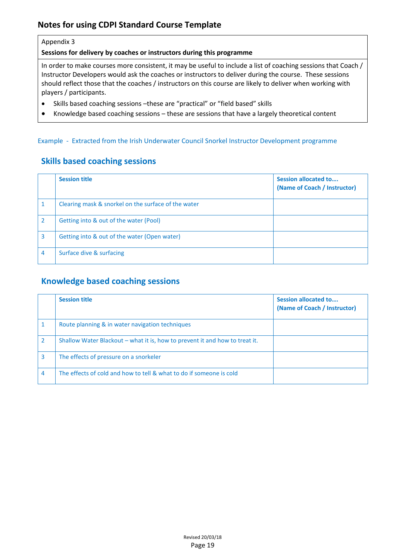#### Appendix 3

**Sessions for delivery by coaches or instructors during this programme**

In order to make courses more consistent, it may be useful to include a list of coaching sessions that Coach / Instructor Developers would ask the coaches or instructors to deliver during the course. These sessions should reflect those that the coaches / instructors on this course are likely to deliver when working with players / participants.

- Skills based coaching sessions –these are "practical" or "field based" skills
- Knowledge based coaching sessions these are sessions that have a largely theoretical content

#### Example - Extracted from the Irish Underwater Council Snorkel Instructor Development programme

#### **Skills based coaching sessions**

|               | <b>Session title</b>                                | <b>Session allocated to</b><br>(Name of Coach / Instructor) |
|---------------|-----------------------------------------------------|-------------------------------------------------------------|
|               | Clearing mask & snorkel on the surface of the water |                                                             |
| $\mathcal{P}$ | Getting into & out of the water (Pool)              |                                                             |
| 3             | Getting into & out of the water (Open water)        |                                                             |
| 4             | Surface dive & surfacing                            |                                                             |

# **Knowledge based coaching sessions**

|               | <b>Session title</b>                                                        | Session allocated to<br>(Name of Coach / Instructor) |
|---------------|-----------------------------------------------------------------------------|------------------------------------------------------|
|               | Route planning & in water navigation techniques                             |                                                      |
| $\mathcal{P}$ | Shallow Water Blackout – what it is, how to prevent it and how to treat it. |                                                      |
| 3             | The effects of pressure on a snorkeler                                      |                                                      |
| 4             | The effects of cold and how to tell & what to do if someone is cold         |                                                      |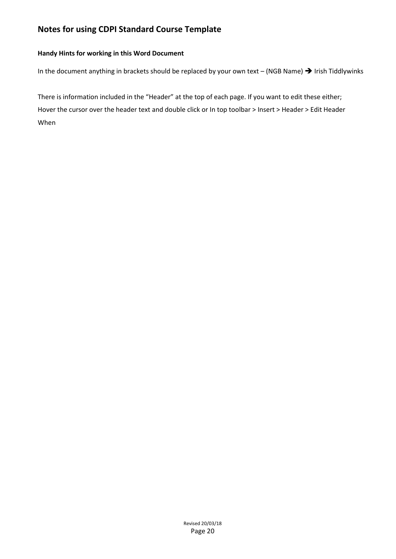#### **Handy Hints for working in this Word Document**

In the document anything in brackets should be replaced by your own text – (NGB Name)  $\rightarrow$  Irish Tiddlywinks

There is information included in the "Header" at the top of each page. If you want to edit these either; Hover the cursor over the header text and double click or In top toolbar > Insert > Header > Edit Header When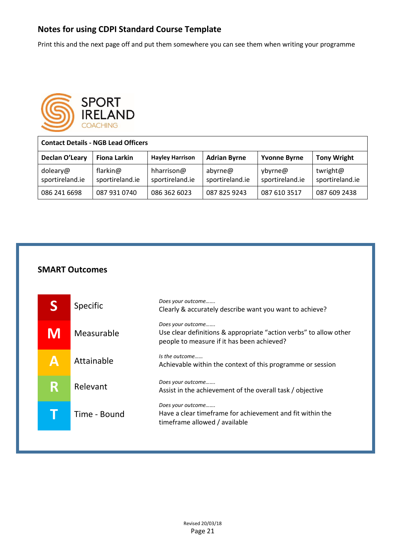Print this and the next page off and put them somewhere you can see them when writing your programme



| <b>Contact Details - NGB Lead Officers</b> |                             |                               |                            |                            |                             |  |
|--------------------------------------------|-----------------------------|-------------------------------|----------------------------|----------------------------|-----------------------------|--|
| Declan O'Leary                             | <b>Fiona Larkin</b>         | <b>Hayley Harrison</b>        | <b>Adrian Byrne</b>        | <b>Yvonne Byrne</b>        | <b>Tony Wright</b>          |  |
| doleary@<br>sportireland.ie                | flarkin@<br>sportireland.ie | hharrison@<br>sportireland.ie | abyrne@<br>sportireland.ie | ybyrne@<br>sportireland.ie | twright@<br>sportireland.ie |  |
| 086 241 6698                               | 087 931 0740                | 086 362 6023                  | 087 825 9243               | 087 610 3517               | 087 609 2438                |  |

### **SMART Outcomes**

|   | Specific     | Does your outcome<br>Clearly & accurately describe want you want to achieve?                                                         |
|---|--------------|--------------------------------------------------------------------------------------------------------------------------------------|
| M | Measurable   | Does your outcome<br>Use clear definitions & appropriate "action verbs" to allow other<br>people to measure if it has been achieved? |
| Δ | Attainable   | Is the outcome<br>Achievable within the context of this programme or session                                                         |
| R | Relevant     | Does your outcome<br>Assist in the achievement of the overall task / objective                                                       |
|   | Time - Bound | Does your outcome<br>Have a clear timeframe for achievement and fit within the<br>timeframe allowed / available                      |